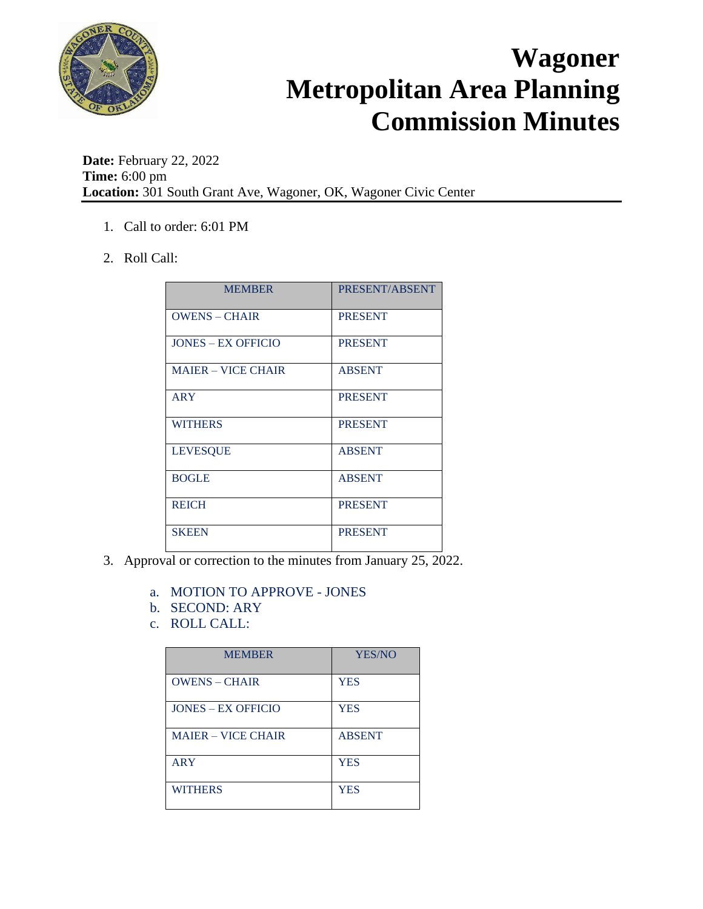

**Date:** February 22, 2022 **Time:** 6:00 pm **Location:** 301 South Grant Ave, Wagoner, OK, Wagoner Civic Center

- 1. Call to order: 6:01 PM
- 2. Roll Call:

| <b>MEMBER</b>             | PRESENT/ABSENT |
|---------------------------|----------------|
| <b>OWENS - CHAIR</b>      | <b>PRESENT</b> |
| <b>JONES – EX OFFICIO</b> | <b>PRESENT</b> |
| <b>MAJER – VICE CHAIR</b> | <b>ABSENT</b>  |
| <b>ARY</b>                | <b>PRESENT</b> |
| <b>WITHERS</b>            | <b>PRESENT</b> |
| <b>LEVESQUE</b>           | <b>ABSENT</b>  |
| <b>BOGLE</b>              | <b>ABSENT</b>  |
| <b>REICH</b>              | <b>PRESENT</b> |
| <b>SKEEN</b>              | <b>PRESENT</b> |

- 3. Approval or correction to the minutes from January 25, 2022.
	- a. MOTION TO APPROVE JONES
	- b. SECOND: ARY
	- c. ROLL CALL:

| <b>MEMBER</b>             | YES/NO        |
|---------------------------|---------------|
| <b>OWENS - CHAIR</b>      | <b>YES</b>    |
| <b>JONES – EX OFFICIO</b> | <b>YES</b>    |
| <b>MAJER – VICE CHAIR</b> | <b>ABSENT</b> |
| <b>ARY</b>                | <b>YES</b>    |
| <b>WITHERS</b>            | <b>YES</b>    |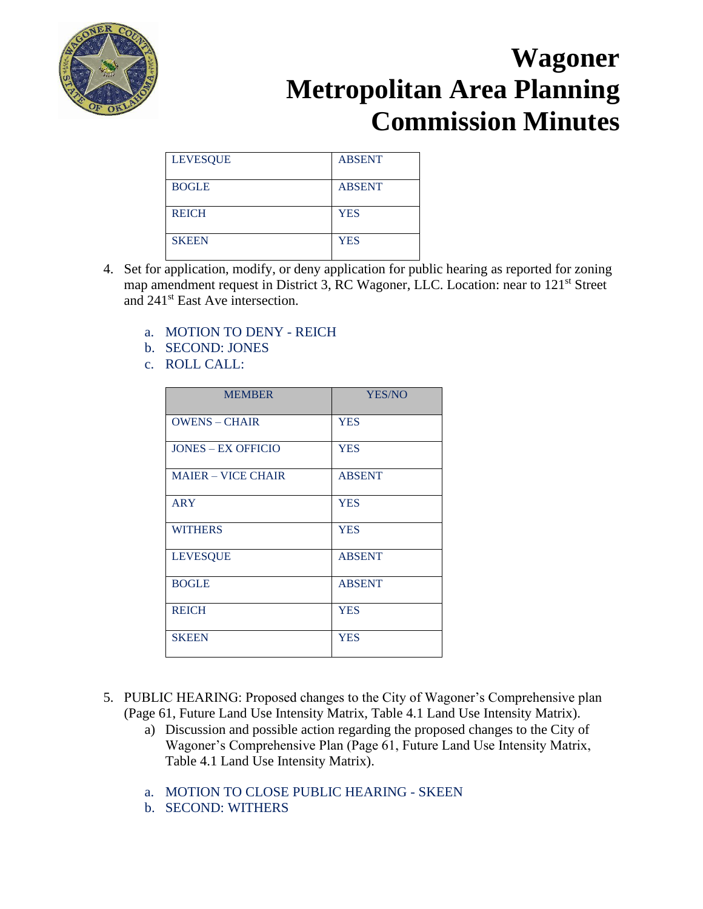

| <b>LEVESQUE</b> | <b>ABSENT</b> |
|-----------------|---------------|
| <b>BOGLE</b>    | <b>ABSENT</b> |
| <b>REICH</b>    | <b>YES</b>    |
| <b>SKEEN</b>    | <b>YES</b>    |

- 4. Set for application, modify, or deny application for public hearing as reported for zoning map amendment request in District 3, RC Wagoner, LLC. Location: near to 121<sup>st</sup> Street and 241st East Ave intersection.
	- a. MOTION TO DENY REICH
	- b. SECOND: JONES
	- c. ROLL CALL:

| <b>MEMBER</b>             | <b>YES/NO</b> |
|---------------------------|---------------|
| <b>OWENS - CHAIR</b>      | <b>YES</b>    |
| <b>JONES – EX OFFICIO</b> | <b>YES</b>    |
| <b>MAIER - VICE CHAIR</b> | <b>ABSENT</b> |
| <b>ARY</b>                | <b>YES</b>    |
| <b>WITHERS</b>            | <b>YES</b>    |
| <b>LEVESQUE</b>           | <b>ABSENT</b> |
| <b>BOGLE</b>              | <b>ABSENT</b> |
| <b>REICH</b>              | <b>YES</b>    |
| <b>SKEEN</b>              | <b>YES</b>    |

- 5. PUBLIC HEARING: Proposed changes to the City of Wagoner's Comprehensive plan (Page 61, Future Land Use Intensity Matrix, Table 4.1 Land Use Intensity Matrix).
	- a) Discussion and possible action regarding the proposed changes to the City of Wagoner's Comprehensive Plan (Page 61, Future Land Use Intensity Matrix, Table 4.1 Land Use Intensity Matrix).
	- a. MOTION TO CLOSE PUBLIC HEARING SKEEN
	- b. SECOND: WITHERS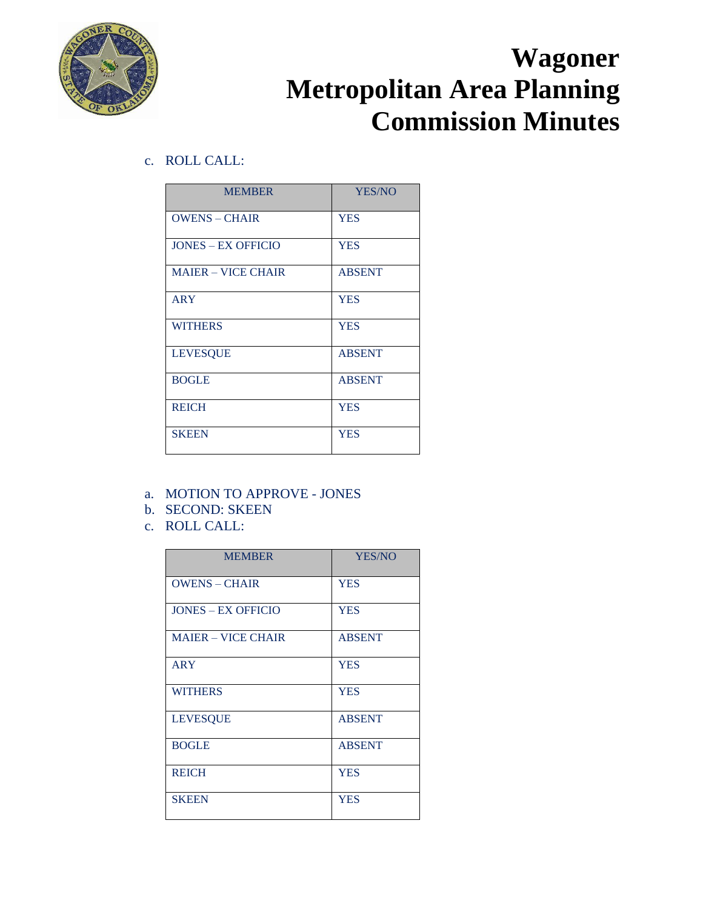

c. ROLL CALL:

| <b>MEMBER</b>             | <b>YES/NO</b> |
|---------------------------|---------------|
| <b>OWENS - CHAIR</b>      | <b>YES</b>    |
| <b>JONES – EX OFFICIO</b> | <b>YES</b>    |
| <b>MAIER - VICE CHAIR</b> | <b>ABSENT</b> |
| <b>ARY</b>                | <b>YES</b>    |
| <b>WITHERS</b>            | <b>YES</b>    |
| <b>LEVESQUE</b>           | <b>ABSENT</b> |
| <b>BOGLE</b>              | <b>ABSENT</b> |
| <b>REICH</b>              | <b>YES</b>    |
| <b>SKEEN</b>              | <b>YES</b>    |

- a. MOTION TO APPROVE JONES
- b. SECOND: SKEEN
- c. ROLL CALL:

| <b>MEMBER</b>             | YES/NO        |
|---------------------------|---------------|
| <b>OWENS - CHAIR</b>      | <b>YES</b>    |
| <b>JONES – EX OFFICIO</b> | <b>YES</b>    |
| <b>MAIER - VICE CHAIR</b> | <b>ABSENT</b> |
| <b>ARY</b>                | <b>YES</b>    |
| <b>WITHERS</b>            | <b>YES</b>    |
| <b>LEVESQUE</b>           | <b>ABSENT</b> |
| <b>BOGLE</b>              | <b>ABSENT</b> |
| <b>REICH</b>              | <b>YES</b>    |
| <b>SKEEN</b>              | <b>YES</b>    |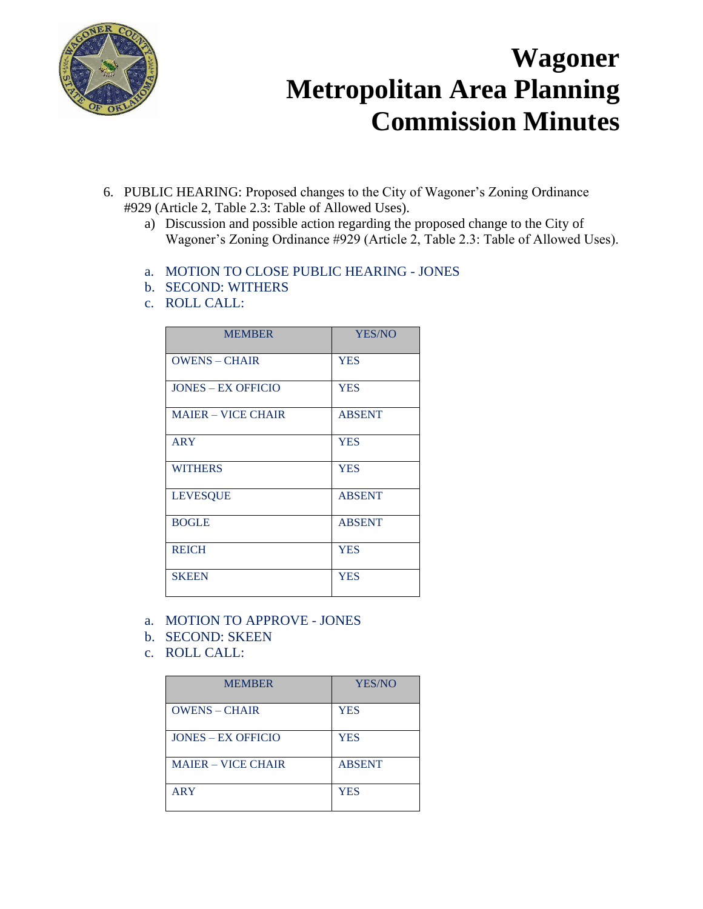

- 6. PUBLIC HEARING: Proposed changes to the City of Wagoner's Zoning Ordinance #929 (Article 2, Table 2.3: Table of Allowed Uses).
	- a) Discussion and possible action regarding the proposed change to the City of Wagoner's Zoning Ordinance #929 (Article 2, Table 2.3: Table of Allowed Uses).
	- a. MOTION TO CLOSE PUBLIC HEARING JONES
	- b. SECOND: WITHERS
	- c. ROLL CALL:

| <b>MEMBER</b>             | YES/NO        |
|---------------------------|---------------|
| <b>OWENS - CHAIR</b>      | <b>YES</b>    |
| <b>JONES – EX OFFICIO</b> | <b>YES</b>    |
| <b>MAIER - VICE CHAIR</b> | <b>ABSENT</b> |
| <b>ARY</b>                | <b>YES</b>    |
| <b>WITHERS</b>            | <b>YES</b>    |
| <b>LEVESQUE</b>           | <b>ABSENT</b> |
| <b>BOGLE</b>              | <b>ABSENT</b> |
| <b>REICH</b>              | <b>YES</b>    |
| <b>SKEEN</b>              | <b>YES</b>    |

- a. MOTION TO APPROVE JONES
- b. SECOND: SKEEN
- c. ROLL CALL:

| <b>MEMBER</b>             | YES/NO        |
|---------------------------|---------------|
| <b>OWENS - CHAIR</b>      | <b>YES</b>    |
| <b>JONES – EX OFFICIO</b> | <b>YES</b>    |
| <b>MAJER – VICE CHAIR</b> | <b>ABSENT</b> |
| <b>ARY</b>                | <b>YES</b>    |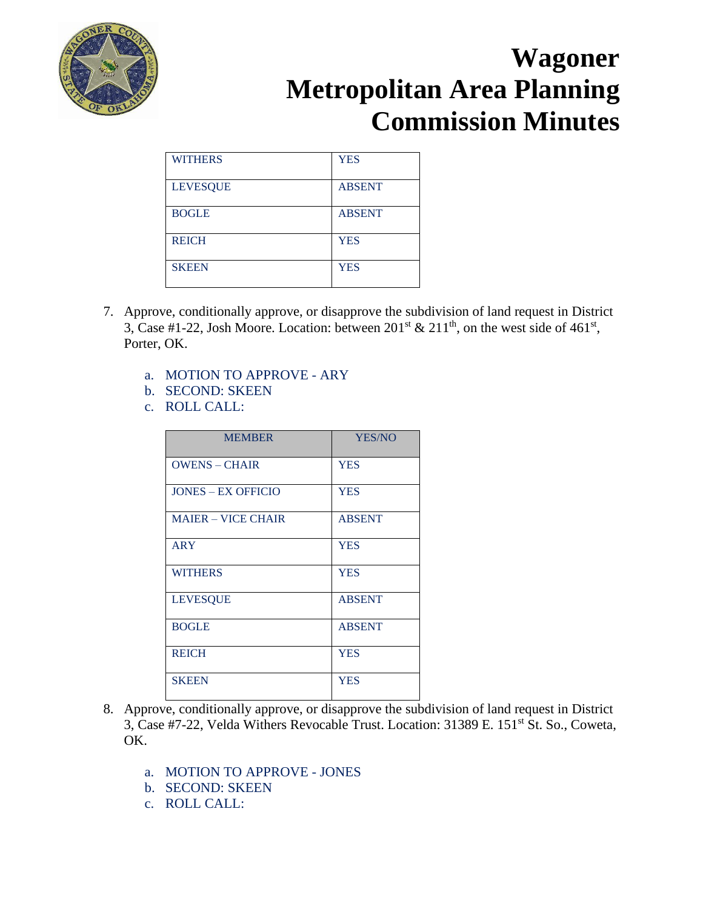

| <b>WITHERS</b>  | <b>YES</b>    |
|-----------------|---------------|
| <b>LEVESQUE</b> | <b>ABSENT</b> |
| <b>BOGLE</b>    | <b>ABSENT</b> |
| <b>REICH</b>    | <b>YES</b>    |
| <b>SKEEN</b>    | <b>YES</b>    |

- 7. Approve, conditionally approve, or disapprove the subdivision of land request in District 3, Case #1-22, Josh Moore. Location: between  $201<sup>st</sup>$  &  $211<sup>th</sup>$ , on the west side of 461<sup>st</sup>, Porter, OK.
	- a. MOTION TO APPROVE ARY
	- b. SECOND: SKEEN
	- c. ROLL CALL:

| <b>MEMBER</b>             | <b>YES/NO</b> |
|---------------------------|---------------|
| <b>OWENS - CHAIR</b>      | <b>YES</b>    |
| <b>JONES – EX OFFICIO</b> | <b>YES</b>    |
| <b>MAJER – VICE CHAIR</b> | <b>ABSENT</b> |
| <b>ARY</b>                | <b>YES</b>    |
| <b>WITHERS</b>            | <b>YES</b>    |
| <b>LEVESQUE</b>           | <b>ABSENT</b> |
| <b>BOGLE</b>              | <b>ABSENT</b> |
| <b>REICH</b>              | <b>YES</b>    |
| <b>SKEEN</b>              | <b>YES</b>    |

- 8. Approve, conditionally approve, or disapprove the subdivision of land request in District 3, Case #7-22, Velda Withers Revocable Trust. Location: 31389 E. 151st St. So., Coweta, OK.
	- a. MOTION TO APPROVE JONES
	- b. SECOND: SKEEN
	- c. ROLL CALL: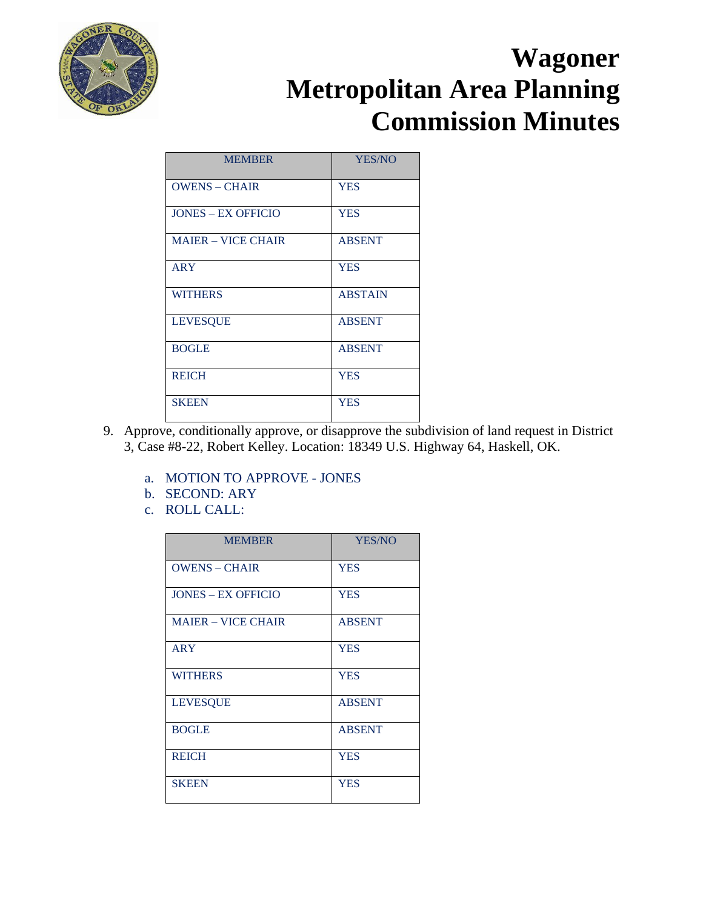

| <b>MEMBER</b>             | YES/NO         |
|---------------------------|----------------|
| <b>OWENS - CHAIR</b>      | <b>YES</b>     |
| <b>JONES – EX OFFICIO</b> | <b>YES</b>     |
| <b>MAIER – VICE CHAIR</b> | <b>ABSENT</b>  |
| <b>ARY</b>                | <b>YES</b>     |
| <b>WITHERS</b>            | <b>ABSTAIN</b> |
| <b>LEVESQUE</b>           | <b>ABSENT</b>  |
| <b>BOGLE</b>              | <b>ABSENT</b>  |
| <b>REICH</b>              | <b>YES</b>     |
| <b>SKEEN</b>              | <b>YES</b>     |

- 9. Approve, conditionally approve, or disapprove the subdivision of land request in District 3, Case #8-22, Robert Kelley. Location: 18349 U.S. Highway 64, Haskell, OK.
	- a. MOTION TO APPROVE JONES
	- b. SECOND: ARY
	- c. ROLL CALL:

| <b>MEMBER</b>             | YES/NO        |
|---------------------------|---------------|
| <b>OWENS - CHAIR</b>      | <b>YES</b>    |
| <b>JONES – EX OFFICIO</b> | <b>YES</b>    |
| <b>MAJER – VICE CHAIR</b> | <b>ABSENT</b> |
| <b>ARY</b>                | <b>YES</b>    |
| <b>WITHERS</b>            | <b>YES</b>    |
| <b>LEVESQUE</b>           | <b>ABSENT</b> |
| <b>BOGLE</b>              | <b>ABSENT</b> |
| <b>REICH</b>              | <b>YES</b>    |
| <b>SKEEN</b>              | <b>YES</b>    |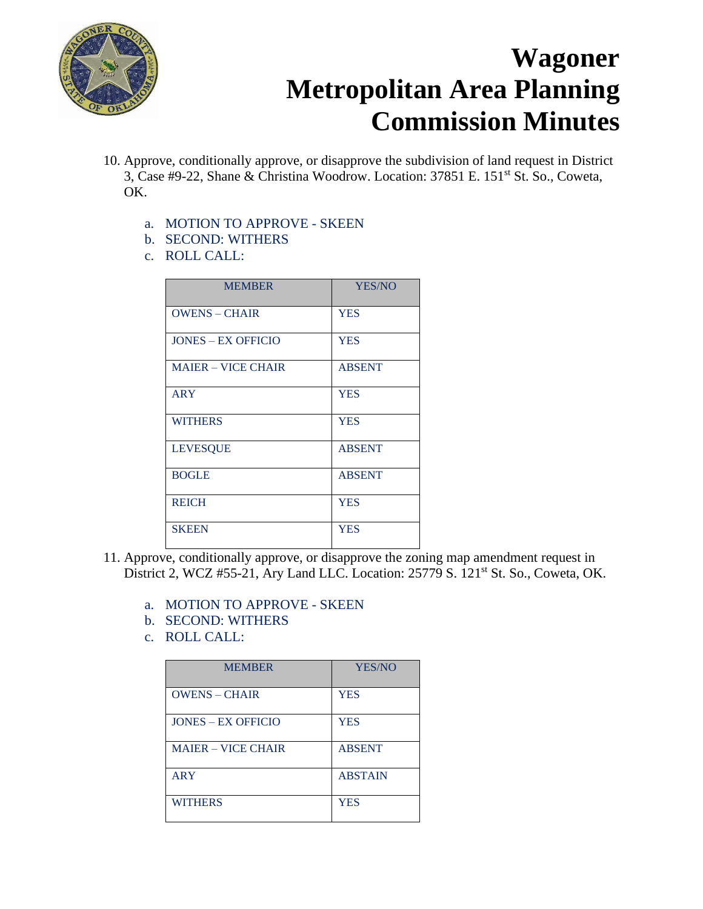

- 10. Approve, conditionally approve, or disapprove the subdivision of land request in District 3, Case #9-22, Shane & Christina Woodrow. Location: 37851 E. 151st St. So., Coweta, OK.
	- a. MOTION TO APPROVE SKEEN
	- b. SECOND: WITHERS
	- c. ROLL CALL:

| <b>MEMBER</b>             | YES/NO        |
|---------------------------|---------------|
| <b>OWENS - CHAIR</b>      | <b>YES</b>    |
| <b>JONES - EX OFFICIO</b> | <b>YES</b>    |
| <b>MAIER - VICE CHAIR</b> | <b>ABSENT</b> |
| <b>ARY</b>                | <b>YES</b>    |
| <b>WITHERS</b>            | <b>YES</b>    |
| <b>LEVESQUE</b>           | <b>ABSENT</b> |
| <b>BOGLE</b>              | <b>ABSENT</b> |
| <b>REICH</b>              | <b>YES</b>    |
| <b>SKEEN</b>              | <b>YES</b>    |

- 11. Approve, conditionally approve, or disapprove the zoning map amendment request in District 2, WCZ #55-21, Ary Land LLC. Location: 25779 S. 121<sup>st</sup> St. So., Coweta, OK.
	- a. MOTION TO APPROVE SKEEN
	- b. SECOND: WITHERS
	- c. ROLL CALL:

| <b>MEMBER</b>             | YES/NO         |
|---------------------------|----------------|
| <b>OWENS - CHAIR</b>      | <b>YES</b>     |
| <b>JONES – EX OFFICIO</b> | <b>YES</b>     |
| <b>MAJER – VICE CHAIR</b> | <b>ABSENT</b>  |
| <b>ARY</b>                | <b>ABSTAIN</b> |
| <b>WITHERS</b>            | <b>YES</b>     |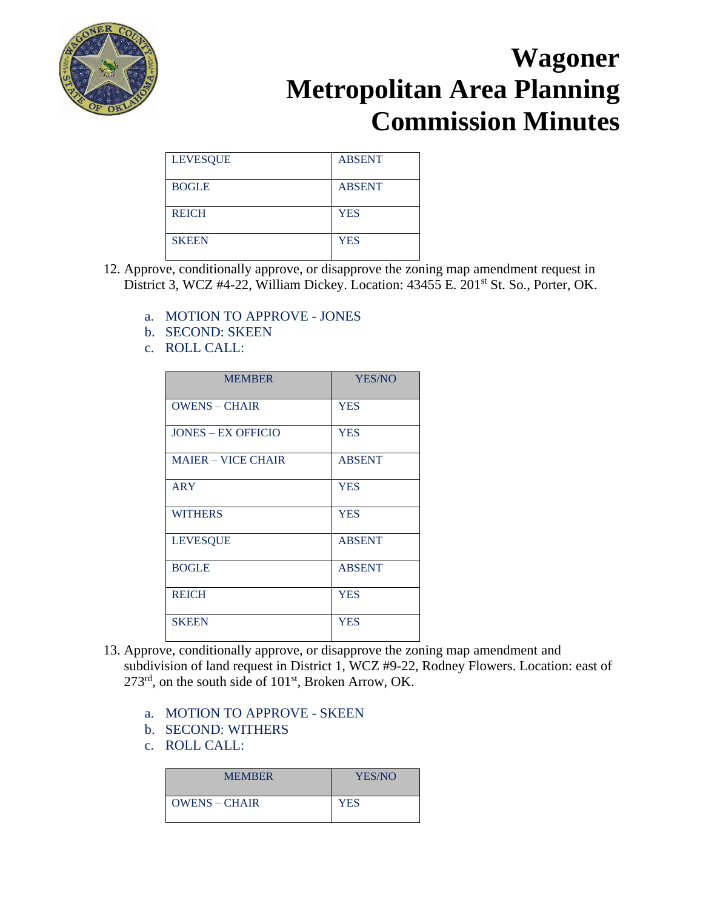

| <b>LEVESQUE</b> | <b>ABSENT</b> |
|-----------------|---------------|
| <b>BOGLE</b>    | <b>ABSENT</b> |
| <b>REICH</b>    | <b>YES</b>    |
| <b>SKEEN</b>    | <b>YES</b>    |

- 12. Approve, conditionally approve, or disapprove the zoning map amendment request in District 3, WCZ #4-22, William Dickey. Location: 43455 E. 201<sup>st</sup> St. So., Porter, OK.
	- a. MOTION TO APPROVE JONES
	- b. SECOND: SKEEN
	- c. ROLL CALL:

| <b>MEMBER</b>             | YES/NO        |
|---------------------------|---------------|
| <b>OWENS - CHAIR</b>      | <b>YES</b>    |
| <b>JONES – EX OFFICIO</b> | <b>YES</b>    |
| <b>MAJER – VICE CHAIR</b> | <b>ABSENT</b> |
| <b>ARY</b>                | <b>YES</b>    |
| <b>WITHERS</b>            | <b>YES</b>    |
| <b>LEVESQUE</b>           | <b>ABSENT</b> |
| <b>BOGLE</b>              | <b>ABSENT</b> |
| <b>REICH</b>              | <b>YES</b>    |
| <b>SKEEN</b>              | <b>YES</b>    |

- 13. Approve, conditionally approve, or disapprove the zoning map amendment and subdivision of land request in District 1, WCZ #9-22, Rodney Flowers. Location: east of 273rd, on the south side of 101st, Broken Arrow, OK.
	- a. MOTION TO APPROVE SKEEN
	- b. SECOND: WITHERS
	- c. ROLL CALL:

| <b>MEMBER</b>        | YES/NO     |
|----------------------|------------|
| <b>OWENS – CHAIR</b> | <b>YES</b> |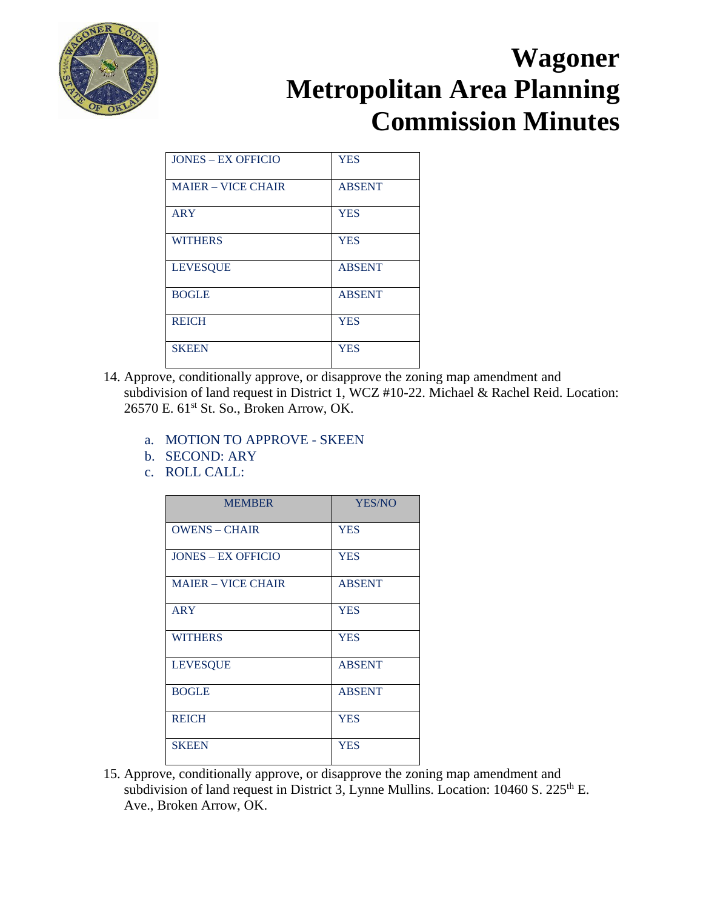

| <b>JONES – EX OFFICIO</b> | <b>YES</b>    |
|---------------------------|---------------|
| <b>MAIER - VICE CHAIR</b> | <b>ABSENT</b> |
| <b>ARY</b>                | <b>YES</b>    |
| <b>WITHERS</b>            | <b>YES</b>    |
| <b>LEVESQUE</b>           | <b>ABSENT</b> |
| <b>BOGLE</b>              | <b>ABSENT</b> |
| <b>REICH</b>              | <b>YES</b>    |
| <b>SKEEN</b>              | <b>YES</b>    |

- 14. Approve, conditionally approve, or disapprove the zoning map amendment and subdivision of land request in District 1, WCZ #10-22. Michael & Rachel Reid. Location: 26570 E. 61<sup>st</sup> St. So., Broken Arrow, OK.
	- a. MOTION TO APPROVE SKEEN
	- b. SECOND: ARY
	- c. ROLL CALL:

| <b>MEMBER</b>             | YES/NO        |
|---------------------------|---------------|
| <b>OWENS - CHAIR</b>      | <b>YES</b>    |
| <b>JONES – EX OFFICIO</b> | <b>YES</b>    |
| <b>MAJER – VICE CHAIR</b> | <b>ABSENT</b> |
| <b>ARY</b>                | <b>YES</b>    |
| <b>WITHERS</b>            | <b>YES</b>    |
| <b>LEVESQUE</b>           | <b>ABSENT</b> |
| <b>BOGLE</b>              | <b>ABSENT</b> |
| <b>REICH</b>              | <b>YES</b>    |
| <b>SKEEN</b>              | <b>YES</b>    |

15. Approve, conditionally approve, or disapprove the zoning map amendment and subdivision of land request in District 3, Lynne Mullins. Location:  $10460 S$ .  $225<sup>th</sup> E$ . Ave., Broken Arrow, OK.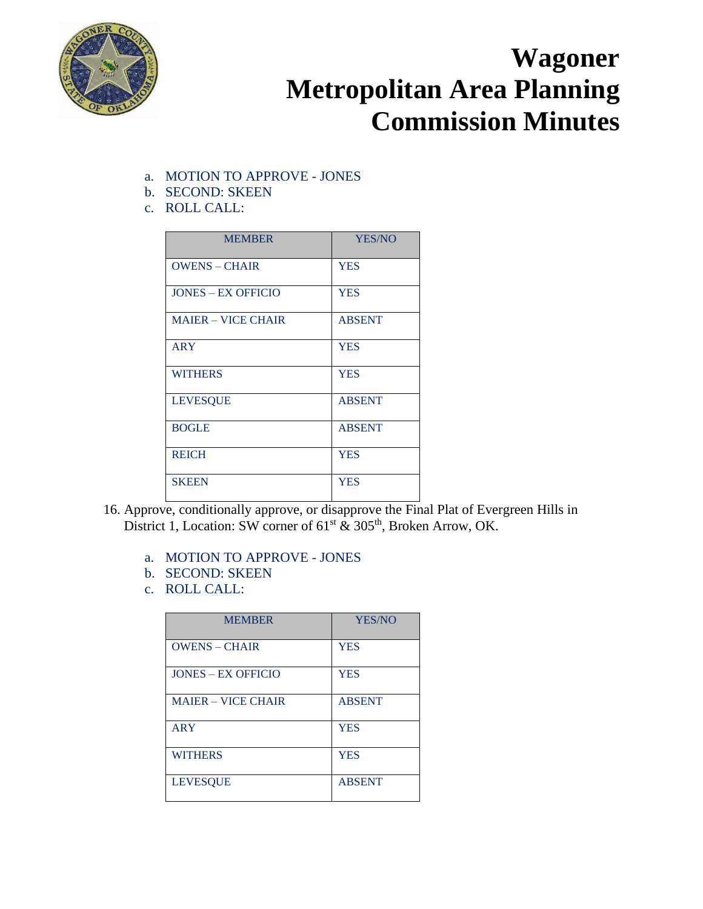

- a. MOTION TO APPROVE JONES
- b. SECOND: SKEEN
- c. ROLL CALL:

| <b>MEMBER</b>             | YES/NO        |
|---------------------------|---------------|
| <b>OWENS – CHAIR</b>      | <b>YES</b>    |
| <b>JONES – EX OFFICIO</b> | <b>YES</b>    |
| <b>MAJER – VICE CHAIR</b> | <b>ABSENT</b> |
| <b>ARY</b>                | <b>YES</b>    |
| <b>WITHERS</b>            | <b>YES</b>    |
| <b>LEVESQUE</b>           | <b>ABSENT</b> |
| <b>BOGLE</b>              | <b>ABSENT</b> |
| <b>REICH</b>              | <b>YES</b>    |
| <b>SKEEN</b>              | <b>YES</b>    |

- 16. Approve, conditionally approve, or disapprove the Final Plat of Evergreen Hills in District 1, Location: SW corner of 61<sup>st</sup> & 305<sup>th</sup>, Broken Arrow, OK.
	- a. MOTION TO APPROVE JONES
	- b. SECOND: SKEEN
	- c. ROLL CALL:

| <b>MEMBER</b>             | <b>YES/NO</b> |
|---------------------------|---------------|
| <b>OWENS - CHAIR</b>      | <b>YES</b>    |
| <b>JONES – EX OFFICIO</b> | <b>YES</b>    |
| <b>MAJER – VICE CHAIR</b> | <b>ABSENT</b> |
| <b>ARY</b>                | <b>YES</b>    |
| <b>WITHERS</b>            | <b>YES</b>    |
| <b>LEVESOUE</b>           | <b>ABSENT</b> |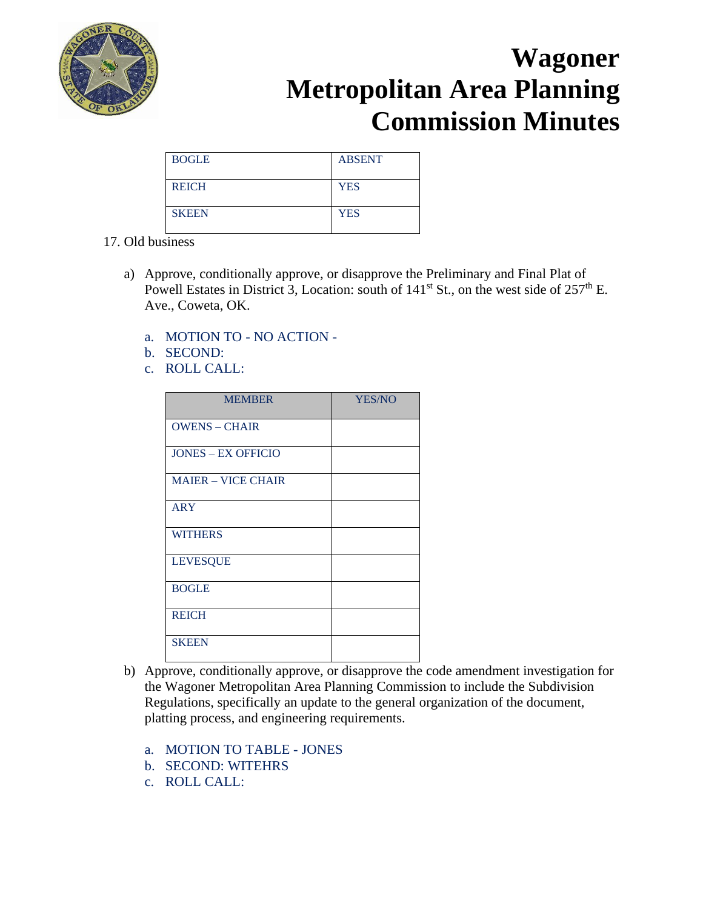

| <b>BOGLE</b> | <b>ABSENT</b> |
|--------------|---------------|
| <b>REICH</b> | <b>YES</b>    |
| <b>SKEEN</b> | <b>YES</b>    |

#### 17. Old business

- a) Approve, conditionally approve, or disapprove the Preliminary and Final Plat of Powell Estates in District 3, Location: south of  $141<sup>st</sup>$  St., on the west side of  $257<sup>th</sup>$  E. Ave., Coweta, OK.
	- a. MOTION TO NO ACTION -
	- b. SECOND:
	- c. ROLL CALL:

| <b>MEMBER</b>             | YES/NO |
|---------------------------|--------|
| <b>OWENS - CHAIR</b>      |        |
| <b>JONES - EX OFFICIO</b> |        |
| <b>MAIER - VICE CHAIR</b> |        |
| <b>ARY</b>                |        |
| <b>WITHERS</b>            |        |
| <b>LEVESQUE</b>           |        |
| <b>BOGLE</b>              |        |
| <b>REICH</b>              |        |
| <b>SKEEN</b>              |        |

- b) Approve, conditionally approve, or disapprove the code amendment investigation for the Wagoner Metropolitan Area Planning Commission to include the Subdivision Regulations, specifically an update to the general organization of the document, platting process, and engineering requirements.
	- a. MOTION TO TABLE JONES
	- b. SECOND: WITEHRS
	- c. ROLL CALL: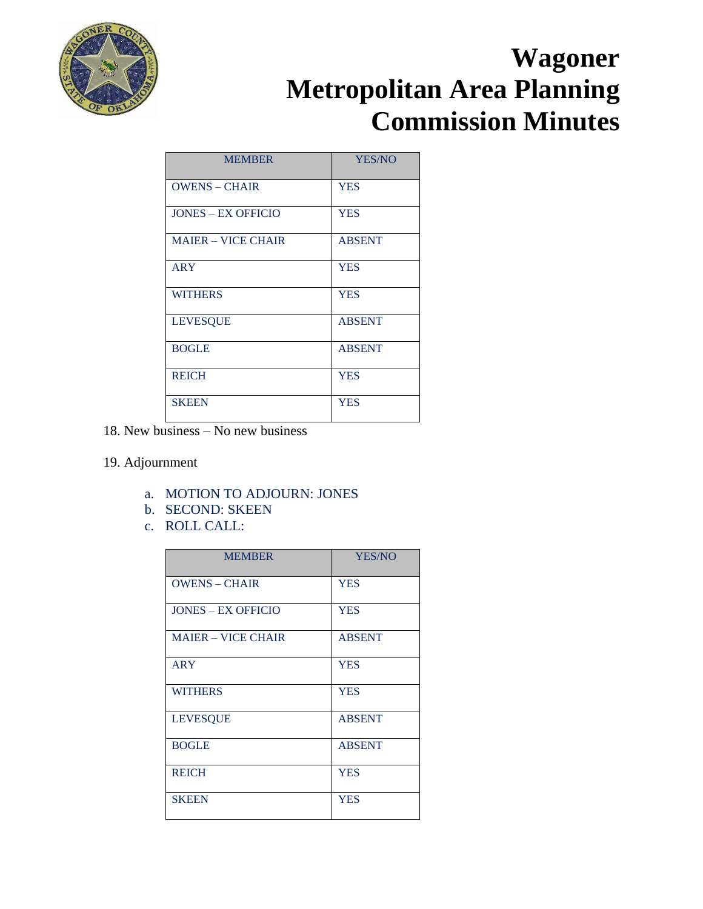

| <b>MEMBER</b>             | <b>YES/NO</b> |
|---------------------------|---------------|
| <b>OWENS - CHAIR</b>      | <b>YES</b>    |
| <b>JONES – EX OFFICIO</b> | <b>YES</b>    |
| <b>MAIER - VICE CHAIR</b> | <b>ABSENT</b> |
| <b>ARY</b>                | <b>YES</b>    |
| <b>WITHERS</b>            | <b>YES</b>    |
| <b>LEVESQUE</b>           | <b>ABSENT</b> |
| <b>BOGLE</b>              | <b>ABSENT</b> |
| <b>REICH</b>              | <b>YES</b>    |
| <b>SKEEN</b>              | <b>YES</b>    |

18. New business – No new business

#### 19. Adjournment

- a. MOTION TO ADJOURN: JONES
- b. SECOND: SKEEN
- c. ROLL CALL:

| <b>MEMBER</b>             | YES/NO        |
|---------------------------|---------------|
| <b>OWENS - CHAIR</b>      | <b>YES</b>    |
| <b>JONES – EX OFFICIO</b> | <b>YES</b>    |
| <b>MAIER - VICE CHAIR</b> | <b>ABSENT</b> |
| <b>ARY</b>                | <b>YES</b>    |
| <b>WITHERS</b>            | <b>YES</b>    |
| <b>LEVESQUE</b>           | <b>ABSENT</b> |
| <b>BOGLE</b>              | <b>ABSENT</b> |
| <b>REICH</b>              | <b>YES</b>    |
| <b>SKEEN</b>              | <b>YES</b>    |